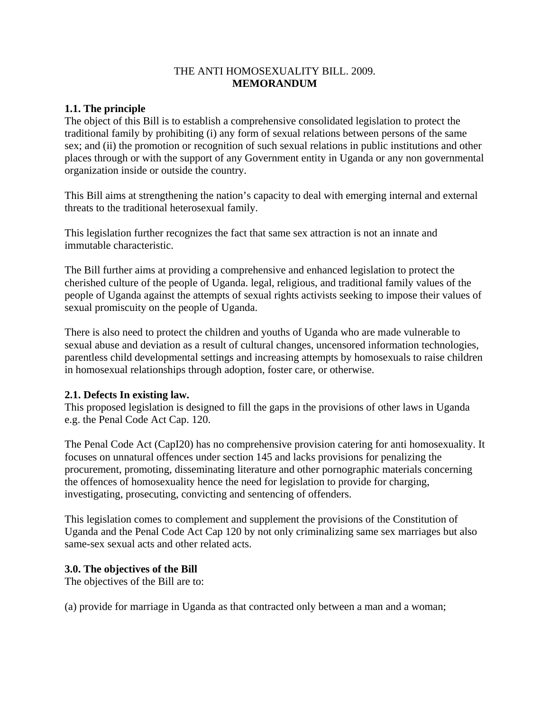### THE ANTI HOMOSEXUALITY BILL. 2009. **MEMORANDUM**

## **1.1. The principle**

The object of this Bill is to establish a comprehensive consolidated legislation to protect the traditional family by prohibiting (i) any form of sexual relations between persons of the same sex; and (ii) the promotion or recognition of such sexual relations in public institutions and other places through or with the support of any Government entity in Uganda or any non governmental organization inside or outside the country.

This Bill aims at strengthening the nation's capacity to deal with emerging internal and external threats to the traditional heterosexual family.

This legislation further recognizes the fact that same sex attraction is not an innate and immutable characteristic.

The Bill further aims at providing a comprehensive and enhanced legislation to protect the cherished culture of the people of Uganda. legal, religious, and traditional family values of the people of Uganda against the attempts of sexual rights activists seeking to impose their values of sexual promiscuity on the people of Uganda.

There is also need to protect the children and youths of Uganda who are made vulnerable to sexual abuse and deviation as a result of cultural changes, uncensored information technologies, parentless child developmental settings and increasing attempts by homosexuals to raise children in homosexual relationships through adoption, foster care, or otherwise.

## **2.1. Defects In existing law.**

This proposed legislation is designed to fill the gaps in the provisions of other laws in Uganda e.g. the Penal Code Act Cap. 120.

The Penal Code Act (CapI20) has no comprehensive provision catering for anti homosexuality. It focuses on unnatural offences under section 145 and lacks provisions for penalizing the procurement, promoting, disseminating literature and other pornographic materials concerning the offences of homosexuality hence the need for legislation to provide for charging, investigating, prosecuting, convicting and sentencing of offenders.

This legislation comes to complement and supplement the provisions of the Constitution of Uganda and the Penal Code Act Cap 120 by not only criminalizing same sex marriages but also same-sex sexual acts and other related acts.

## **3.0. The objectives of the Bill**

The objectives of the Bill are to:

(a) provide for marriage in Uganda as that contracted only between a man and a woman;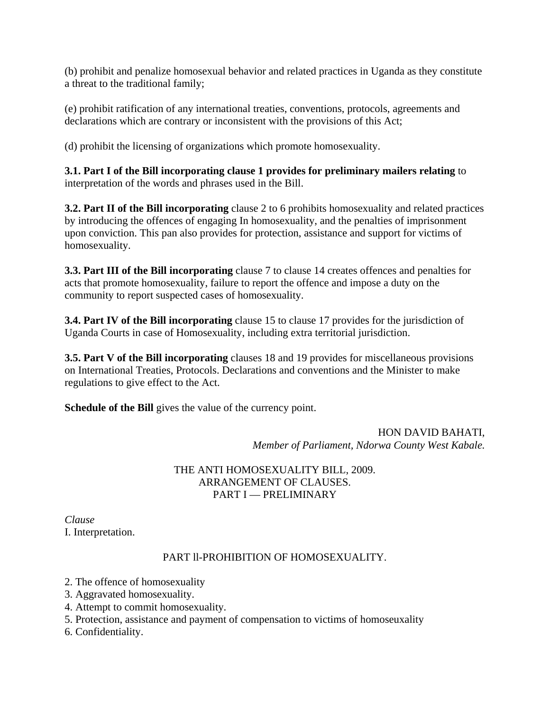(b) prohibit and penalize homosexual behavior and related practices in Uganda as they constitute a threat to the traditional family;

(e) prohibit ratification of any international treaties, conventions, protocols, agreements and declarations which are contrary or inconsistent with the provisions of this Act;

(d) prohibit the licensing of organizations which promote homosexuality.

**3.1. Part I of the Bill incorporating clause 1 provides for preliminary mailers relating** to interpretation of the words and phrases used in the Bill.

**3.2. Part II of the Bill incorporating** clause 2 to 6 prohibits homosexuality and related practices by introducing the offences of engaging In homosexuality, and the penalties of imprisonment upon conviction. This pan also provides for protection, assistance and support for victims of homosexuality.

**3.3. Part III of the Bill incorporating** clause 7 to clause 14 creates offences and penalties for acts that promote homosexuality, failure to report the offence and impose a duty on the community to report suspected cases of homosexuality.

**3.4. Part IV of the Bill incorporating** clause 15 to clause 17 provides for the jurisdiction of Uganda Courts in case of Homosexuality, including extra territorial jurisdiction.

**3.5. Part V of the Bill incorporating** clauses 18 and 19 provides for miscellaneous provisions on International Treaties, Protocols. Declarations and conventions and the Minister to make regulations to give effect to the Act.

**Schedule of the Bill** gives the value of the currency point.

HON DAVID BAHATI, *Member of Parliament, Ndorwa County West Kabale.*

# THE ANTI HOMOSEXUALITY BILL, 2009. ARRANGEMENT OF CLAUSES. PART I - PRELIMINARY

*Clause* I. Interpretation.

# PART ll-PROHIBITION OF HOMOSEXUALITY.

- 2. The offence of homosexuality
- 3. Aggravated homosexuality.
- 4. Attempt to commit homosexuality.
- 5. Protection, assistance and payment of compensation to victims of homoseuxality

6. Confidentiality.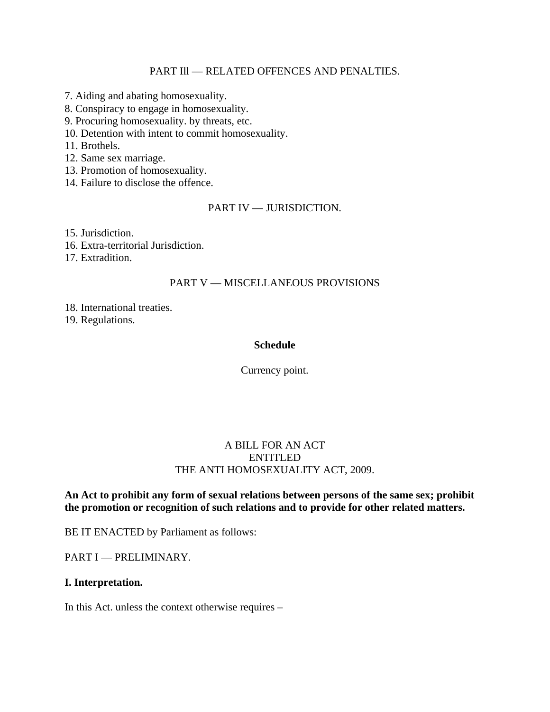#### PART Ill — RELATED OFFENCES AND PENALTIES.

- 7. Aiding and abating homosexuality.
- 8. Conspiracy to engage in homosexuality.
- 9. Procuring homosexuality. by threats, etc.
- 10. Detention with intent to commit homosexuality.
- 11. Brothels.
- 12. Same sex marriage.
- 13. Promotion of homosexuality.
- 14. Failure to disclose the offence.

#### PART IV — JURISDICTION.

- 15. Jurisdiction.
- 16. Extra-territorial Jurisdiction.
- 17. Extradition.

#### PART V — MISCELLANEOUS PROVISIONS

- 18. International treaties.
- 19. Regulations.

#### **Schedule**

Currency point.

### A BILL FOR AN ACT ENTITLED THE ANTI HOMOSEXUALITY ACT, 2009.

#### **An Act to prohibit any form of sexual relations between persons of the same sex; prohibit the promotion or recognition of such relations and to provide for other related matters.**

BE IT ENACTED by Parliament as follows:

PART I — PRELIMINARY.

#### **I. Interpretation.**

In this Act. unless the context otherwise requires –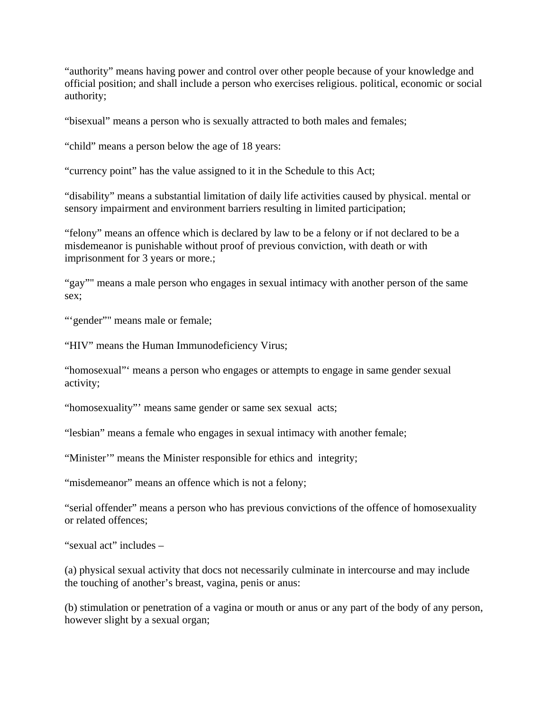"authority" means having power and control over other people because of your knowledge and official position; and shall include a person who exercises religious. political, economic or social authority;

"bisexual" means a person who is sexually attracted to both males and females;

"child" means a person below the age of 18 years:

"currency point" has the value assigned to it in the Schedule to this Act;

"disability" means a substantial limitation of daily life activities caused by physical. mental or sensory impairment and environment barriers resulting in limited participation;

"felony" means an offence which is declared by law to be a felony or if not declared to be a misdemeanor is punishable without proof of previous conviction, with death or with imprisonment for 3 years or more.;

"gay"" means a male person who engages in sexual intimacy with another person of the same sex;

"" gender"" means male or female;

"HIV" means the Human Immunodeficiency Virus;

"homosexual"' means a person who engages or attempts to engage in same gender sexual activity;

"homosexuality"' means same gender or same sex sexual acts;

"lesbian" means a female who engages in sexual intimacy with another female;

"Minister'" means the Minister responsible for ethics and integrity;

"misdemeanor" means an offence which is not a felony;

"serial offender" means a person who has previous convictions of the offence of homosexuality or related offences;

"sexual act" includes –

(a) physical sexual activity that docs not necessarily culminate in intercourse and may include the touching of another's breast, vagina, penis or anus:

(b) stimulation or penetration of a vagina or mouth or anus or any part of the body of any person, however slight by a sexual organ;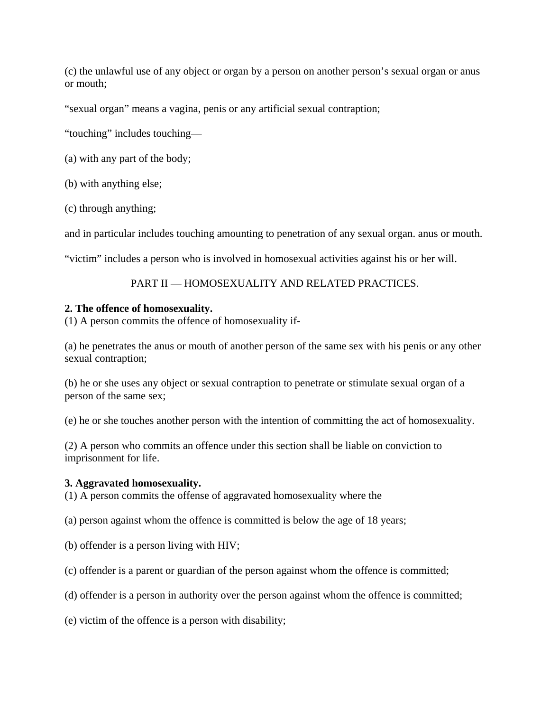(c) the unlawful use of any object or organ by a person on another person's sexual organ or anus or mouth;

"sexual organ" means a vagina, penis or any artificial sexual contraption;

"touching" includes touching—

(a) with any part of the body;

(b) with anything else;

(c) through anything;

and in particular includes touching amounting to penetration of any sexual organ. anus or mouth.

"victim" includes a person who is involved in homosexual activities against his or her will.

#### PART II — HOMOSEXUALITY AND RELATED PRACTICES.

#### **2. The offence of homosexuality.**

(1) A person commits the offence of homosexuality if-

(a) he penetrates the anus or mouth of another person of the same sex with his penis or any other sexual contraption;

(b) he or she uses any object or sexual contraption to penetrate or stimulate sexual organ of a person of the same sex;

(e) he or she touches another person with the intention of committing the act of homosexuality.

(2) A person who commits an offence under this section shall be liable on conviction to imprisonment for life.

#### **3. Aggravated homosexuality.**

(1) A person commits the offense of aggravated homosexuality where the

(a) person against whom the offence is committed is below the age of 18 years;

- (b) offender is a person living with HIV;
- (c) offender is a parent or guardian of the person against whom the offence is committed;
- (d) offender is a person in authority over the person against whom the offence is committed;
- (e) victim of the offence is a person with disability;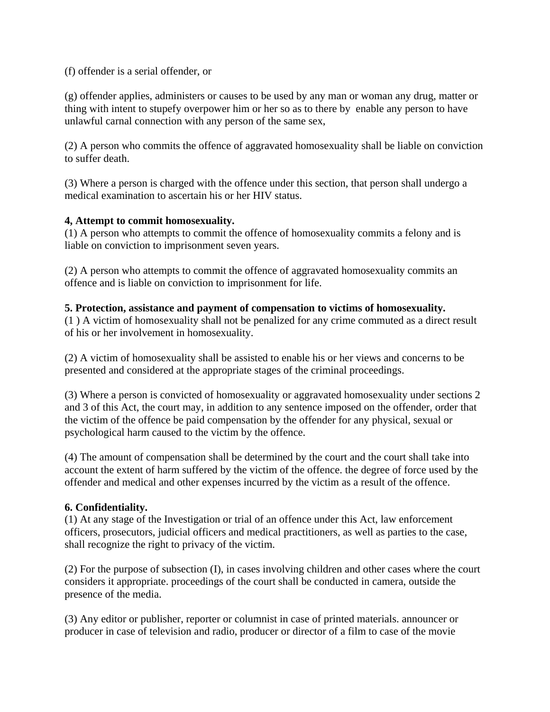(f) offender is a serial offender, or

(g) offender applies, administers or causes to be used by any man or woman any drug, matter or thing with intent to stupefy overpower him or her so as to there by enable any person to have unlawful carnal connection with any person of the same sex,

(2) A person who commits the offence of aggravated homosexuality shall be liable on conviction to suffer death.

(3) Where a person is charged with the offence under this section, that person shall undergo a medical examination to ascertain his or her HIV status.

### **4, Attempt to commit homosexuality.**

(1) A person who attempts to commit the offence of homosexuality commits a felony and is liable on conviction to imprisonment seven years.

(2) A person who attempts to commit the offence of aggravated homosexuality commits an offence and is liable on conviction to imprisonment for life.

### **5. Protection, assistance and payment of compensation to victims of homosexuality.**

(1 ) A victim of homosexuality shall not be penalized for any crime commuted as a direct result of his or her involvement in homosexuality.

(2) A victim of homosexuality shall be assisted to enable his or her views and concerns to be presented and considered at the appropriate stages of the criminal proceedings.

(3) Where a person is convicted of homosexuality or aggravated homosexuality under sections 2 and 3 of this Act, the court may, in addition to any sentence imposed on the offender, order that the victim of the offence be paid compensation by the offender for any physical, sexual or psychological harm caused to the victim by the offence.

(4) The amount of compensation shall be determined by the court and the court shall take into account the extent of harm suffered by the victim of the offence. the degree of force used by the offender and medical and other expenses incurred by the victim as a result of the offence.

## **6. Confidentiality.**

(1) At any stage of the Investigation or trial of an offence under this Act, law enforcement officers, prosecutors, judicial officers and medical practitioners, as well as parties to the case, shall recognize the right to privacy of the victim.

(2) For the purpose of subsection (I), in cases involving children and other cases where the court considers it appropriate. proceedings of the court shall be conducted in camera, outside the presence of the media.

(3) Any editor or publisher, reporter or columnist in case of printed materials. announcer or producer in case of television and radio, producer or director of a film to case of the movie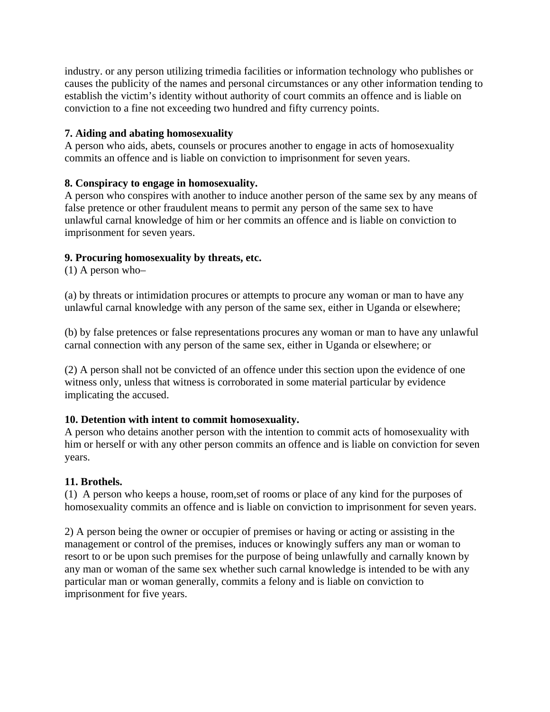industry. or any person utilizing trimedia facilities or information technology who publishes or causes the publicity of the names and personal circumstances or any other information tending to establish the victim's identity without authority of court commits an offence and is liable on conviction to a fine not exceeding two hundred and fifty currency points.

## **7. Aiding and abating homosexuality**

A person who aids, abets, counsels or procures another to engage in acts of homosexuality commits an offence and is liable on conviction to imprisonment for seven years.

## **8. Conspiracy to engage in homosexuality.**

A person who conspires with another to induce another person of the same sex by any means of false pretence or other fraudulent means to permit any person of the same sex to have unlawful carnal knowledge of him or her commits an offence and is liable on conviction to imprisonment for seven years.

## **9. Procuring homosexuality by threats, etc.**

(1) A person who–

(a) by threats or intimidation procures or attempts to procure any woman or man to have any unlawful carnal knowledge with any person of the same sex, either in Uganda or elsewhere;

(b) by false pretences or false representations procures any woman or man to have any unlawful carnal connection with any person of the same sex, either in Uganda or elsewhere; or

(2) A person shall not be convicted of an offence under this section upon the evidence of one witness only, unless that witness is corroborated in some material particular by evidence implicating the accused.

# **10. Detention with intent to commit homosexuality.**

A person who detains another person with the intention to commit acts of homosexuality with him or herself or with any other person commits an offence and is liable on conviction for seven years.

# **11. Brothels.**

(1) A person who keeps a house, room,set of rooms or place of any kind for the purposes of homosexuality commits an offence and is liable on conviction to imprisonment for seven years.

2) A person being the owner or occupier of premises or having or acting or assisting in the management or control of the premises, induces or knowingly suffers any man or woman to resort to or be upon such premises for the purpose of being unlawfully and carnally known by any man or woman of the same sex whether such carnal knowledge is intended to be with any particular man or woman generally, commits a felony and is liable on conviction to imprisonment for five years.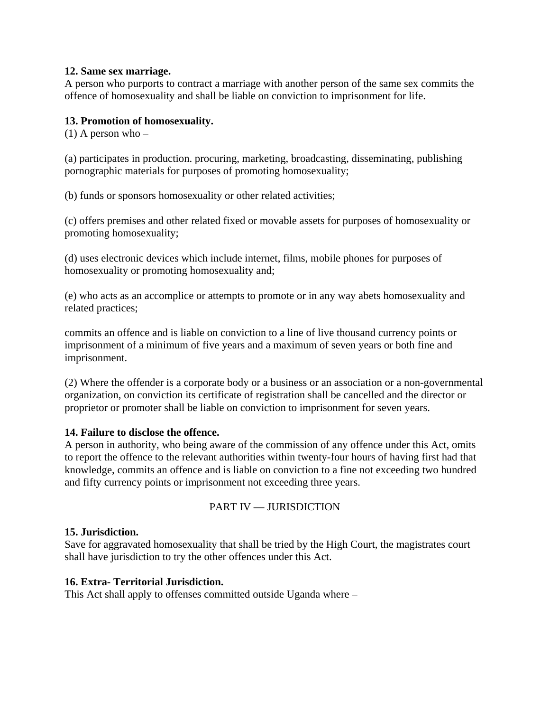#### **12. Same sex marriage.**

A person who purports to contract a marriage with another person of the same sex commits the offence of homosexuality and shall be liable on conviction to imprisonment for life.

## **13. Promotion of homosexuality.**

 $(1)$  A person who –

(a) participates in production. procuring, marketing, broadcasting, disseminating, publishing pornographic materials for purposes of promoting homosexuality;

(b) funds or sponsors homosexuality or other related activities;

(c) offers premises and other related fixed or movable assets for purposes of homosexuality or promoting homosexuality;

(d) uses electronic devices which include internet, films, mobile phones for purposes of homosexuality or promoting homosexuality and;

(e) who acts as an accomplice or attempts to promote or in any way abets homosexuality and related practices;

commits an offence and is liable on conviction to a line of live thousand currency points or imprisonment of a minimum of five years and a maximum of seven years or both fine and imprisonment.

(2) Where the offender is a corporate body or a business or an association or a non-governmental organization, on conviction its certificate of registration shall be cancelled and the director or proprietor or promoter shall be liable on conviction to imprisonment for seven years.

## **14. Failure to disclose the offence.**

A person in authority, who being aware of the commission of any offence under this Act, omits to report the offence to the relevant authorities within twenty-four hours of having first had that knowledge, commits an offence and is liable on conviction to a fine not exceeding two hundred and fifty currency points or imprisonment not exceeding three years.

# PART IV — JURISDICTION

# **15. Jurisdiction.**

Save for aggravated homosexuality that shall be tried by the High Court, the magistrates court shall have jurisdiction to try the other offences under this Act.

## **16. Extra- Territorial Jurisdiction.**

This Act shall apply to offenses committed outside Uganda where –